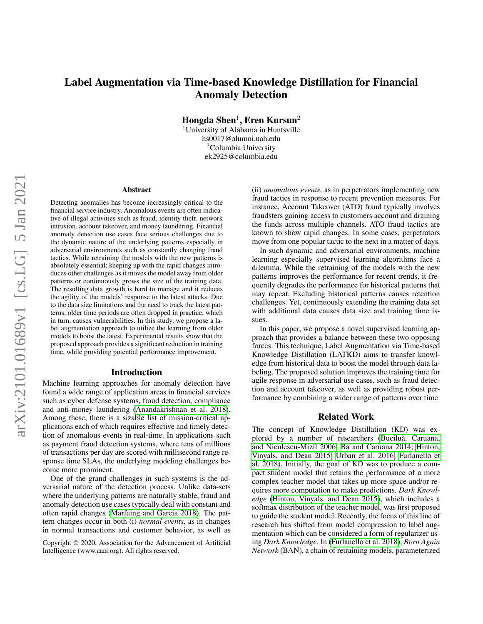# Label Augmentation via Time-based Knowledge Distillation for Financial Anomaly Detection

 $\bf{H}$ ongda  $\bf{Shen}^1,\bf{E}$ ren  $\bf{Kursun}^2$ 

<sup>1</sup>University of Alabama in Huntsville hs0017@alumni.uah.edu <sup>2</sup>Columbia University ek2925@columbia.edu

#### **Abstract**

Detecting anomalies has become increasingly critical to the financial service industry. Anomalous events are often indicative of illegal activities such as fraud, identity theft, network intrusion, account takeover, and money laundering. Financial anomaly detection use cases face serious challenges due to the dynamic nature of the underlying patterns especially in adversarial environments such as constantly changing fraud tactics. While retraining the models with the new patterns is absolutely essential; keeping up with the rapid changes introduces other challenges as it moves the model away from older patterns or continuously grows the size of the training data. The resulting data growth is hard to manage and it reduces the agility of the models' response to the latest attacks. Due to the data size limitations and the need to track the latest patterns, older time periods are often dropped in practice, which in turn, causes vulnerabilities. In this study, we propose a label augmentation approach to utilize the learning from older models to boost the latest. Experimental results show that the proposed approach provides a significant reduction in training time, while providing potential performance improvement.

### Introduction

Machine learning approaches for anomaly detection have found a wide range of application areas in financial services such as cyber defense systems, fraud detection, compliance and anti-money laundering [\(Anandakrishnan et al. 2018\)](#page-3-0). Among these, there is a sizable list of mission-critical applications each of which requires effective and timely detection of anomalous events in real-time. In applications such as payment fraud detection systems, where tens of millions of transactions per day are scored with millisecond range response time SLAs, the underlying modeling challenges become more prominent.

One of the grand challenges in such systems is the adversarial nature of the detection process. Unlike data-sets where the underlying patterns are naturally stable, fraud and anomaly detection use cases typically deal with constant and often rapid changes [\(Marfaing and Garcia 2018\)](#page-3-1). The pattern changes occur in both (i) *normal events*, as in changes in normal transactions and customer behavior, as well as

(ii) *anomalous events*, as in perpetrators implementing new fraud tactics in response to recent prevention measures. For instance, Account Takeover (ATO) fraud typically involves fraudsters gaining access to customers account and draining the funds across multiple channels. ATO fraud tactics are known to show rapid changes. In some cases, perpetrators move from one popular tactic to the next in a matter of days.

In such dynamic and adversarial environments, machine learning especially supervised learning algorithms face a dilemma. While the retraining of the models with the new patterns improves the performance for recent trends, it frequently degrades the performance for historical patterns that may repeat. Excluding historical patterns causes retention challenges. Yet, continuously extending the training data set with additional data causes data size and training time issues.

In this paper, we propose a novel supervised learning approach that provides a balance between these two opposing forces. This technique, Label Augmentation via Time-based Knowledge Distillation (LATKD) aims to transfer knowledge from historical data to boost the model through data labeling. The proposed solution improves the training time for agile response in adversarial use cases, such as fraud detection and account takeover, as well as providing robust performance by combining a wider range of patterns over time.

### Related Work

The concept of Knowledge Distillation (KD) was explored by a number of researchers (Buciluă, Caruana, [and Niculescu-Mizil 2006;](#page-3-2) [Ba and Caruana 2014;](#page-3-3) [Hinton,](#page-3-4) [Vinyals, and Dean 2015;](#page-3-4) [Urban et al. 2016;](#page-3-5) [Furlanello et](#page-3-6) [al. 2018\)](#page-3-6). Initially, the goal of KD was to produce a compact student model that retains the performance of a more complex teacher model that takes up more space and/or requires more computation to make predictions. *Dark Knowledge* [\(Hinton, Vinyals, and Dean 2015\)](#page-3-4), which includes a softmax distribution of the teacher model, was first proposed to guide the student model. Recently, the focus of this line of research has shifted from model compression to label augmentation which can be considered a form of regularizer using *Dark Knowledge*. In [\(Furlanello et al. 2018\)](#page-3-6), *Born Again Network* (BAN), a chain of retraining models, parameterized

Copyright © 2020, Association for the Advancement of Artificial Intelligence (www.aaai.org). All rights reserved.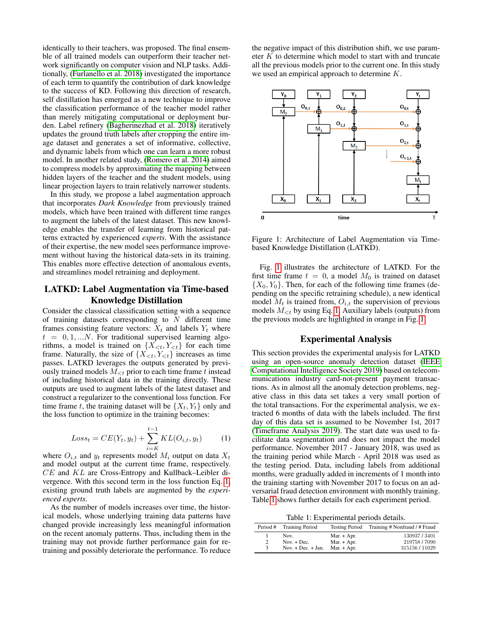identically to their teachers, was proposed. The final ensemble of all trained models can outperform their teacher network significantly on computer vision and NLP tasks. Additionally, [\(Furlanello et al. 2018\)](#page-3-6) investigated the importance of each term to quantify the contribution of dark knowledge to the success of KD. Following this direction of research, self distillation has emerged as a new technique to improve the classification performance of the teacher model rather than merely mitigating computational or deployment burden. Label refinery [\(Bagherinezhad et al. 2018\)](#page-3-7) iteratively updates the ground truth labels after cropping the entire image dataset and generates a set of informative, collective, and dynamic labels from which one can learn a more robust model. In another related study, [\(Romero et al. 2014\)](#page-3-8) aimed to compress models by approximating the mapping between hidden layers of the teacher and the student models, using linear projection layers to train relatively narrower students.

In this study, we propose a label augmentation approach that incorporates *Dark Knowledge* from previously trained models, which have been trained with different time ranges to augment the labels of the latest dataset. This new knowledge enables the transfer of learning from historical patterns extracted by experienced *experts*. With the assistance of their expertise, the new model sees performance improvement without having the historical data-sets in its training. This enables more effective detection of anomalous events, and streamlines model retraining and deployment.

## LATKD: Label Augmentation via Time-based Knowledge Distillation

Consider the classical classification setting with a sequence of training datasets corresponding to  $N$  different time frames consisting feature vectors:  $X_t$  and labels  $Y_t$  where  $t = 0, 1, ...N$ . For traditional supervised learning algorithms, a model is trained on  $\{X_{\leq t}, Y_{\leq t}\}\$  for each time frame. Naturally, the size of  $\{X_{\leq t}, Y_{\leq t}\}\$  increases as time passes. LATKD leverages the outputs generated by previously trained models  $M_{\leq t}$  prior to each time frame t instead of including historical data in the training directly. These outputs are used to augment labels of the latest dataset and construct a regularizer to the conventional loss function. For time frame t, the training dataset will be  $\{X_t, Y_t\}$  only and the loss function to optimize in the training becomes:

<span id="page-1-0"></span>
$$
Loss_t = CE(Y_t, y_t) + \sum_{i=K}^{t-1} KL(O_{i,t}, y_t)
$$
 (1)

where  $O_{i,t}$  and  $y_t$  represents model  $M_i$  output on data  $X_t$ and model output at the current time frame, respectively. CE and KL are Cross-Entropy and Kullback–Leibler divergence. With this second term in the loss function Eq. [1,](#page-1-0) existing ground truth labels are augmented by the *experienced experts*.

As the number of models increases over time, the historical models, whose underlying training data patterns have changed provide increasingly less meaningful information on the recent anomaly patterns. Thus, including them in the training may not provide further performance gain for retraining and possibly deteriorate the performance. To reduce

the negative impact of this distribution shift, we use parameter K to determine which model to start with and truncate all the previous models prior to the current one. In this study we used an empirical approach to determine K.



<span id="page-1-1"></span>Figure 1: Architecture of Label Augmentation via Timebased Knowledge Distillation (LATKD).

Fig. [1](#page-1-1) illustrates the architecture of LATKD. For the first time frame  $t = 0$ , a model  $M_0$  is trained on dataset  $\{X_0, Y_0\}$ . Then, for each of the following time frames (depending on the specific retraining schedule), a new identical model  $M_t$  is trained from,  $O_{i,t}$  the supervision of previous models  $M_{\leq t}$  by using Eq. [1.](#page-1-0) Auxiliary labels (outputs) from the previous models are highlighted in orange in Fig. [1.](#page-1-1)

### Experimental Analysis

This section provides the experimental analysis for LATKD using an open-source anomaly detection dataset [\(IEEE](#page-3-9) [Computational Intelligence Society 2019\)](#page-3-9) based on telecommunications industry card-not-present payment transactions. As in almost all the anomaly detection problems, negative class in this data set takes a very small portion of the total transactions. For the experimental analysis, we extracted 6 months of data with the labels included. The first day of this data set is assumed to be November 1st, 2017 [\(Timeframe Analysis 2019\)](#page-3-10). The start date was used to facilitate data segmentation and does not impact the model performance. November 2017 - January 2018, was used as the training period while March - April 2018 was used as the testing period. Data, including labels from additional months, were gradually added in increments of 1 month into the training starting with November 2017 to focus on an adversarial fraud detection environment with monthly training. Table [1](#page-1-2) shows further details for each experiment period.

<span id="page-1-2"></span>Table 1: Experimental periods details.

| Period # | <b>Training Period</b> | <b>Testing Period</b> | Training # Nonfraud / # Fraud |
|----------|------------------------|-----------------------|-------------------------------|
|          | Nov.                   | Mar. $+$ Apr.         | 130937/3401                   |
| 2        | Nov. $+$ Dec.          | $Mar. + Apr.$         | 219758/7090                   |
| 3        | Nov. $+$ Dec. $+$ Jan. | $Mar. + Apr.$         | 315156/11029                  |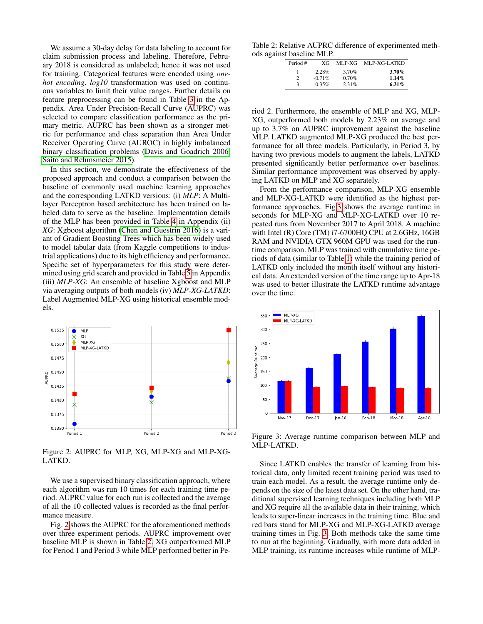We assume a 30-day delay for data labeling to account for claim submission process and labeling. Therefore, February 2018 is considered as unlabeled; hence it was not used for training. Categorical features were encoded using *onehot encoding*. *log10* transformation was used on continuous variables to limit their value ranges. Further details on feature preprocessing can be found in Table [3](#page-3-11) in the Appendix. Area Under Precision-Recall Curve (AUPRC) was selected to compare classification performance as the primary metric. AUPRC has been shown as a stronger metric for performance and class separation than Area Under Receiver Operating Curve (AUROC) in highly imbalanced binary classification problems [\(Davis and Goadrich 2006;](#page-3-12) [Saito and Rehmsmeier 2015\)](#page-3-13).

In this section, we demonstrate the effectiveness of the proposed approach and conduct a comparison between the baseline of commonly used machine learning approaches and the corresponding LATKD versions: (i) *MLP*: A Multilayer Perceptron based architecture has been trained on labeled data to serve as the baseline. Implementation details of the MLP has been provided in Table [4](#page-3-14) in Appendix (ii) *XG*: Xgboost algorithm [\(Chen and Guestrin 2016\)](#page-3-15) is a variant of Gradient Boosting Trees which has been widely used to model tabular data (from Kaggle competitions to industrial applications) due to its high efficiency and performance. Specific set of hyperparameters for this study were determined using grid search and provided in Table [5](#page-4-0) in Appendix (iii) *MLP-XG*: An ensemble of baseline Xgboost and MLP via averaging outputs of both models (iv) *MLP-XG-LATKD*: Label Augmented MLP-XG using historical ensemble models.



<span id="page-2-0"></span>Figure 2: AUPRC for MLP, XG, MLP-XG and MLP-XG-LATKD.

We use a supervised binary classification approach, where each algorithm was run 10 times for each training time period. AUPRC value for each run is collected and the average of all the 10 collected values is recorded as the final performance measure.

Fig. [2](#page-2-0) shows the AUPRC for the aforementioned methods over three experiment periods. AUPRC improvement over baseline MLP is shown in Table [2.](#page-2-1) XG outperformed MLP for Period 1 and Period 3 while MLP performed better in Pe-

Table 2: Relative AUPRC difference of experimented methods against baseline MLP.

<span id="page-2-1"></span>

| Period # | XG        | MLP-XG | MLP-XG-LATKD |
|----------|-----------|--------|--------------|
|          | 2.28%     | 3.70%  | $3.70\%$     |
| 2        | $-0.71\%$ | 0.70%  | $1.14\%$     |
| 3        | 0.35%     | 2.31%  | 6.31 $%$     |

riod 2. Furthermore, the ensemble of MLP and XG, MLP-XG, outperformed both models by 2.23% on average and up to 3.7% on AUPRC improvement against the baseline MLP. LATKD augmented MLP-XG produced the best performance for all three models. Particularly, in Period 3, by having two previous models to augment the labels, LATKD presented significantly better performance over baselines. Similar performance improvement was observed by applying LATKD on MLP and XG separately.

From the performance comparison, MLP-XG ensemble and MLP-XG-LATKD were identified as the highest performance approaches. Fig[.3](#page-2-2) shows the average runtime in seconds for MLP-XG and MLP-XG-LATKD over 10 repeated runs from November 2017 to April 2018. A machine with Intel (R) Core (TM) i7-6700HQ CPU at 2.6GHz, 16GB RAM and NVIDIA GTX 960M GPU was used for the runtime comparison. MLP was trained with cumulative time periods of data (similar to Table [1\)](#page-1-2) while the training period of LATKD only included the month itself without any historical data. An extended version of the time range up to Apr-18 was used to better illustrate the LATKD runtime advantage over the time.



<span id="page-2-2"></span>Figure 3: Average runtime comparison between MLP and MLP-LATKD.

Since LATKD enables the transfer of learning from historical data, only limited recent training period was used to train each model. As a result, the average runtime only depends on the size of the latest data set. On the other hand, traditional supervised learning techniques including both MLP and XG require all the available data in their training, which leads to super-linear increases in the training time. Blue and red bars stand for MLP-XG and MLP-XG-LATKD average training times in Fig. [3.](#page-2-2) Both methods take the same time to run at the beginning. Gradually, with more data added in MLP training, its runtime increases while runtime of MLP-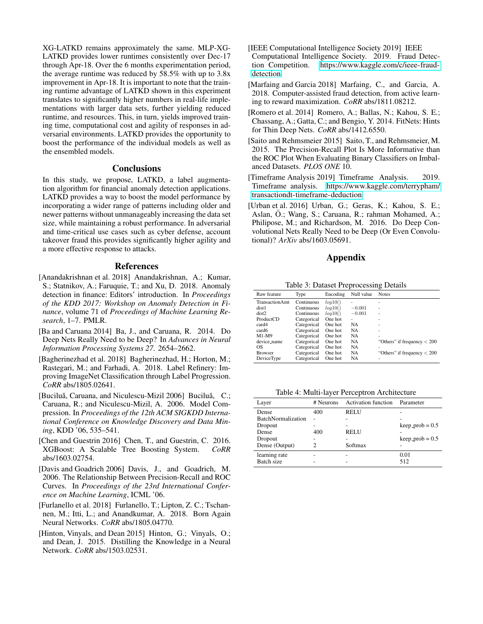XG-LATKD remains approximately the same. MLP-XG-LATKD provides lower runtimes consistently over Dec-17 through Apr-18. Over the 6 months experimentation period, the average runtime was reduced by 58.5% with up to 3.8x improvement in Apr-18. It is important to note that the training runtime advantage of LATKD shown in this experiment translates to significantly higher numbers in real-life implementations with larger data sets, further yielding reduced runtime, and resources. This, in turn, yields improved training time, computational cost and agility of responses in adversarial environments. LATKD provides the opportunity to boost the performance of the individual models as well as the ensembled models.

## **Conclusions**

In this study, we propose, LATKD, a label augmentation algorithm for financial anomaly detection applications. LATKD provides a way to boost the model performance by incorporating a wider range of patterns including older and newer patterns without unmanageably increasing the data set size, while maintaining a robust performance. In adversarial and time-critical use cases such as cyber defense, account takeover fraud this provides significantly higher agility and a more effective response to attacks.

#### References

- <span id="page-3-0"></span>[Anandakrishnan et al. 2018] Anandakrishnan, A.; Kumar, S.; Statnikov, A.; Faruquie, T.; and Xu, D. 2018. Anomaly detection in finance: Editors' introduction. In *Proceedings of the KDD 2017: Workshop on Anomaly Detection in Finance*, volume 71 of *Proceedings of Machine Learning Research*, 1–7. PMLR.
- <span id="page-3-3"></span>[Ba and Caruana 2014] Ba, J., and Caruana, R. 2014. Do Deep Nets Really Need to be Deep? In *Advances in Neural Information Processing Systems 27*. 2654–2662.
- <span id="page-3-7"></span>[Bagherinezhad et al. 2018] Bagherinezhad, H.; Horton, M.; Rastegari, M.; and Farhadi, A. 2018. Label Refinery: Improving ImageNet Classification through Label Progression. *CoRR* abs/1805.02641.
- <span id="page-3-2"></span>[Buciluǎ, Caruana, and Niculescu-Mizil 2006] Buciluǎ, C.; Caruana, R.; and Niculescu-Mizil, A. 2006. Model Compression. In *Proceedings of the 12th ACM SIGKDD International Conference on Knowledge Discovery and Data Mining*, KDD '06, 535–541.
- <span id="page-3-15"></span>[Chen and Guestrin 2016] Chen, T., and Guestrin, C. 2016. XGBoost: A Scalable Tree Boosting System. *CoRR* abs/1603.02754.
- <span id="page-3-12"></span>[Davis and Goadrich 2006] Davis, J., and Goadrich, M. 2006. The Relationship Between Precision-Recall and ROC Curves. In *Proceedings of the 23rd International Conference on Machine Learning*, ICML '06.
- <span id="page-3-6"></span>[Furlanello et al. 2018] Furlanello, T.; Lipton, Z. C.; Tschannen, M.; Itti, L.; and Anandkumar, A. 2018. Born Again Neural Networks. *CoRR* abs/1805.04770.
- <span id="page-3-4"></span>[Hinton, Vinyals, and Dean 2015] Hinton, G.; Vinyals, O.; and Dean, J. 2015. Distilling the Knowledge in a Neural Network. *CoRR* abs/1503.02531.
- <span id="page-3-9"></span>[IEEE Computational Intelligence Society 2019] IEEE Computational Intelligence Society. 2019. Fraud Detection Competition. https://www.kaggle.com/c/ieee-fraudhttps://www.kaggle.com/c/ieee-fraud[detection.](https://www.kaggle.com/c/ieee-fraud-detection)
- <span id="page-3-1"></span>[Marfaing and Garcia 2018] Marfaing, C., and Garcia, A. 2018. Computer-assisted fraud detection, from active learning to reward maximization. *CoRR* abs/1811.08212.
- <span id="page-3-8"></span>[Romero et al. 2014] Romero, A.; Ballas, N.; Kahou, S. E.; Chassang, A.; Gatta, C.; and Bengio, Y. 2014. FitNets: Hints for Thin Deep Nets. *CoRR* abs/1412.6550.
- <span id="page-3-13"></span>[Saito and Rehmsmeier 2015] Saito, T., and Rehmsmeier, M. 2015. The Precision-Recall Plot Is More Informative than the ROC Plot When Evaluating Binary Classifiers on Imbalanced Datasets. *PLOS ONE* 10.
- <span id="page-3-10"></span>[Timeframe Analysis 2019] Timeframe Analysis. 2019. Timeframe analysis. [https://www.kaggle.com/terrypham/](https://www.kaggle.com/terrypham/transactiondt-timeframe-deduction) [transactiondt-timeframe-deduction.](https://www.kaggle.com/terrypham/transactiondt-timeframe-deduction)
- <span id="page-3-5"></span>[Urban et al. 2016] Urban, G.; Geras, K.; Kahou, S. E.; Aslan, Ö.; Wang, S.; Caruana, R.; rahman Mohamed, A.; Philipose, M.; and Richardson, M. 2016. Do Deep Convolutional Nets Really Need to be Deep (Or Even Convolutional)? *ArXiv* abs/1603.05691.

### <span id="page-3-11"></span>Appendix

Table 3: Dataset Preprocessing Details

| Raw feature    | Type        | Encoding | Null value | <b>Notes</b>                  |
|----------------|-------------|----------|------------|-------------------------------|
| TransactionAmt | Continuous  | log10()  |            | ۰                             |
| dist1          | Continuous  | log10()  | $-0.001$   | ۰                             |
| dist2          | Continuous  | log10()  | $-0.001$   | ۰                             |
| ProductCD      | Categorical | One hot  | ۰          |                               |
| card4          | Categorical | One hot  | <b>NA</b>  | ۰                             |
| card6          | Categorical | One hot  | <b>NA</b>  | ۰                             |
| $M1-M9$        | Categorical | One hot  | <b>NA</b>  | ۰                             |
| device_name    | Categorical | One hot  | <b>NA</b>  | "Others" if frequency $< 200$ |
| OS             | Categorical | One hot  | <b>NA</b>  | ۰                             |
| <b>Browser</b> | Categorical | One hot  | <b>NA</b>  | "Others" if frequency $< 200$ |
| DeviceType     | Categorical | One hot  | <b>NA</b>  |                               |

<span id="page-3-14"></span>Table 4: Multi-layer Perceptron Architecture

| Layer                     | # Neurons | <b>Activation function</b> | Parameter          |
|---------------------------|-----------|----------------------------|--------------------|
| Dense                     | 400       | <b>RELU</b>                |                    |
| <b>BatchNormalization</b> |           |                            |                    |
| Dropout                   |           |                            | $keep\_prob = 0.5$ |
| Dense                     | 400       | <b>RELU</b>                |                    |
| Dropout                   |           |                            | $keep\_prob = 0.5$ |
| Dense (Output)            | 2         | Softmax                    |                    |
| learning rate             |           |                            | 0.01               |
| Batch size                |           |                            | 512                |